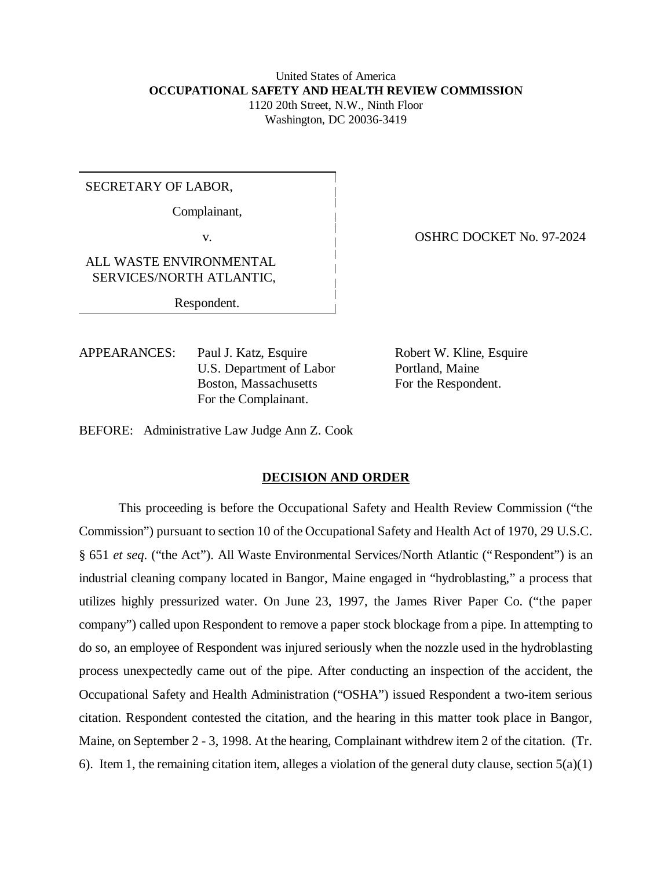# United States of America **OCCUPATIONAL SAFETY AND HEALTH REVIEW COMMISSION** 1120 20th Street, N.W., Ninth Floor Washington, DC 20036-3419

# SECRETARY OF LABOR,

Complainant,

ALL WASTE ENVIRONMENTAL SERVICES/NORTH ATLANTIC,

Respondent.

APPEARANCES: Paul J. Katz, Esquire Robert W. Kline, Esquire U.S. Department of Labor Portland, Maine Boston, Massachusetts For the Respondent. For the Complainant.

v. **OSHRC DOCKET No. 97-2024** 

BEFORE: Administrative Law Judge Ann Z. Cook

#### **DECISION AND ORDER**

This proceeding is before the Occupational Safety and Health Review Commission ("the Commission") pursuant to section 10 of the Occupational Safety and Health Act of 1970, 29 U.S.C. § 651 *et seq*. ("the Act"). All Waste Environmental Services/North Atlantic ("Respondent") is an industrial cleaning company located in Bangor, Maine engaged in "hydroblasting," a process that utilizes highly pressurized water. On June 23, 1997, the James River Paper Co. ("the paper company") called upon Respondent to remove a paper stock blockage from a pipe. In attempting to do so, an employee of Respondent was injured seriously when the nozzle used in the hydroblasting process unexpectedly came out of the pipe. After conducting an inspection of the accident, the Occupational Safety and Health Administration ("OSHA") issued Respondent a two-item serious citation. Respondent contested the citation, and the hearing in this matter took place in Bangor, Maine, on September 2 - 3, 1998. At the hearing, Complainant withdrew item 2 of the citation. (Tr. 6). Item 1, the remaining citation item, alleges a violation of the general duty clause, section  $5(a)(1)$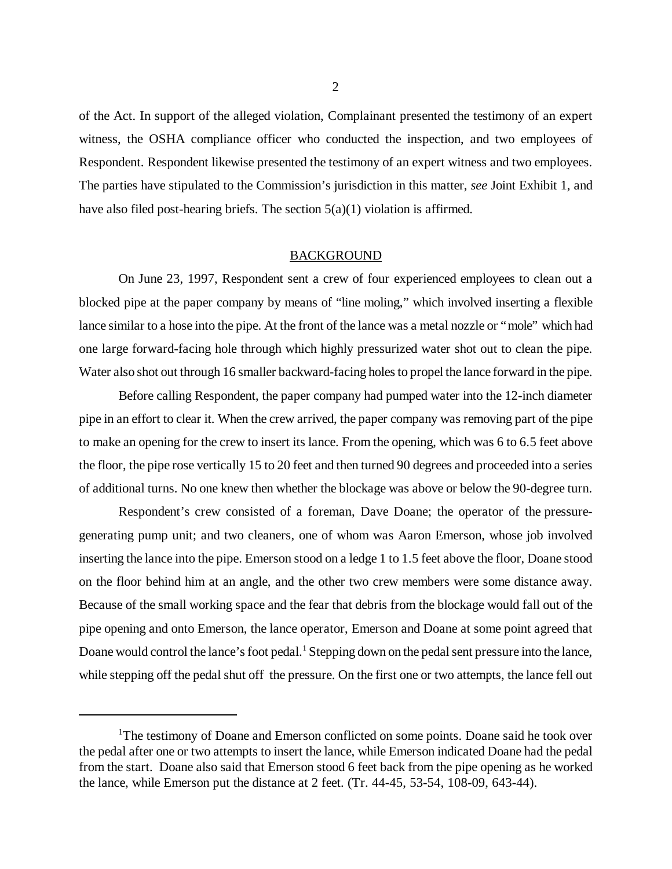of the Act. In support of the alleged violation, Complainant presented the testimony of an expert witness, the OSHA compliance officer who conducted the inspection, and two employees of Respondent. Respondent likewise presented the testimony of an expert witness and two employees. The parties have stipulated to the Commission's jurisdiction in this matter, *see* Joint Exhibit 1, and have also filed post-hearing briefs. The section  $5(a)(1)$  violation is affirmed.

## BACKGROUND

On June 23, 1997, Respondent sent a crew of four experienced employees to clean out a blocked pipe at the paper company by means of "line moling," which involved inserting a flexible lance similar to a hose into the pipe. At the front of the lance was a metal nozzle or "mole" which had one large forward-facing hole through which highly pressurized water shot out to clean the pipe. Water also shot out through 16 smaller backward-facing holes to propel the lance forward in the pipe.

Before calling Respondent, the paper company had pumped water into the 12-inch diameter pipe in an effort to clear it. When the crew arrived, the paper company was removing part of the pipe to make an opening for the crew to insert its lance. From the opening, which was 6 to 6.5 feet above the floor, the pipe rose vertically 15 to 20 feet and then turned 90 degrees and proceeded into a series of additional turns. No one knew then whether the blockage was above or below the 90-degree turn.

Respondent's crew consisted of a foreman, Dave Doane; the operator of the pressuregenerating pump unit; and two cleaners, one of whom was Aaron Emerson, whose job involved inserting the lance into the pipe. Emerson stood on a ledge 1 to 1.5 feet above the floor, Doane stood on the floor behind him at an angle, and the other two crew members were some distance away. Because of the small working space and the fear that debris from the blockage would fall out of the pipe opening and onto Emerson, the lance operator, Emerson and Doane at some point agreed that Doane would control the lance's foot pedal.<sup>1</sup> Stepping down on the pedal sent pressure into the lance, while stepping off the pedal shut off the pressure. On the first one or two attempts, the lance fell out

<sup>&</sup>lt;sup>1</sup>The testimony of Doane and Emerson conflicted on some points. Doane said he took over the pedal after one or two attempts to insert the lance, while Emerson indicated Doane had the pedal from the start. Doane also said that Emerson stood 6 feet back from the pipe opening as he worked the lance, while Emerson put the distance at 2 feet. (Tr. 44-45, 53-54, 108-09, 643-44).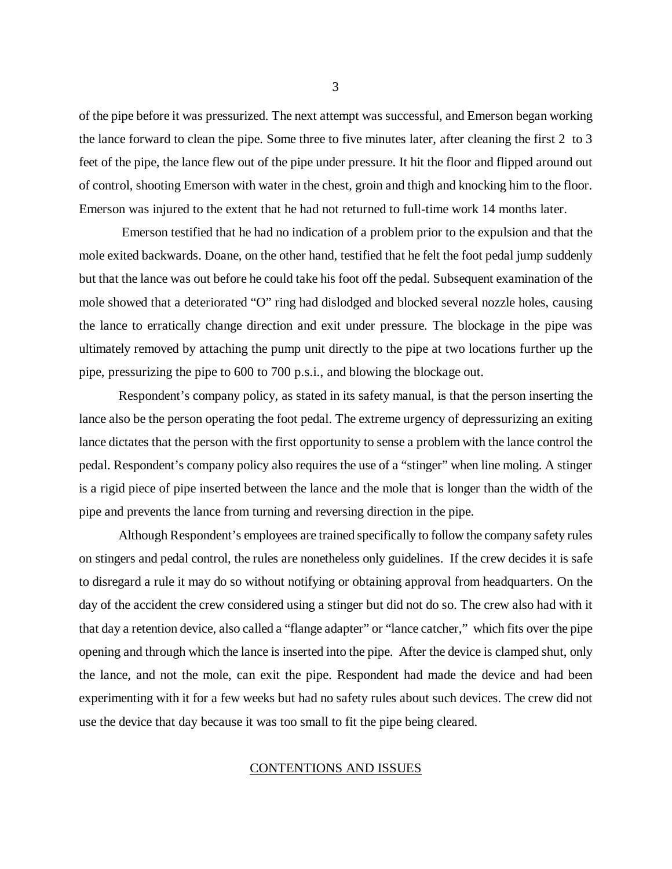of the pipe before it was pressurized. The next attempt was successful, and Emerson began working the lance forward to clean the pipe. Some three to five minutes later, after cleaning the first 2 to 3 feet of the pipe, the lance flew out of the pipe under pressure. It hit the floor and flipped around out of control, shooting Emerson with water in the chest, groin and thigh and knocking him to the floor. Emerson was injured to the extent that he had not returned to full-time work 14 months later.

 Emerson testified that he had no indication of a problem prior to the expulsion and that the mole exited backwards. Doane, on the other hand, testified that he felt the foot pedal jump suddenly but that the lance was out before he could take his foot off the pedal. Subsequent examination of the mole showed that a deteriorated "O" ring had dislodged and blocked several nozzle holes, causing the lance to erratically change direction and exit under pressure. The blockage in the pipe was ultimately removed by attaching the pump unit directly to the pipe at two locations further up the pipe, pressurizing the pipe to 600 to 700 p.s.i., and blowing the blockage out.

Respondent's company policy, as stated in its safety manual, is that the person inserting the lance also be the person operating the foot pedal. The extreme urgency of depressurizing an exiting lance dictates that the person with the first opportunity to sense a problem with the lance control the pedal. Respondent's company policy also requires the use of a "stinger" when line moling. A stinger is a rigid piece of pipe inserted between the lance and the mole that is longer than the width of the pipe and prevents the lance from turning and reversing direction in the pipe.

Although Respondent's employees are trained specifically to follow the company safety rules on stingers and pedal control, the rules are nonetheless only guidelines. If the crew decides it is safe to disregard a rule it may do so without notifying or obtaining approval from headquarters. On the day of the accident the crew considered using a stinger but did not do so. The crew also had with it that day a retention device, also called a "flange adapter" or "lance catcher," which fits over the pipe opening and through which the lance is inserted into the pipe. After the device is clamped shut, only the lance, and not the mole, can exit the pipe. Respondent had made the device and had been experimenting with it for a few weeks but had no safety rules about such devices. The crew did not use the device that day because it was too small to fit the pipe being cleared.

## CONTENTIONS AND ISSUES

3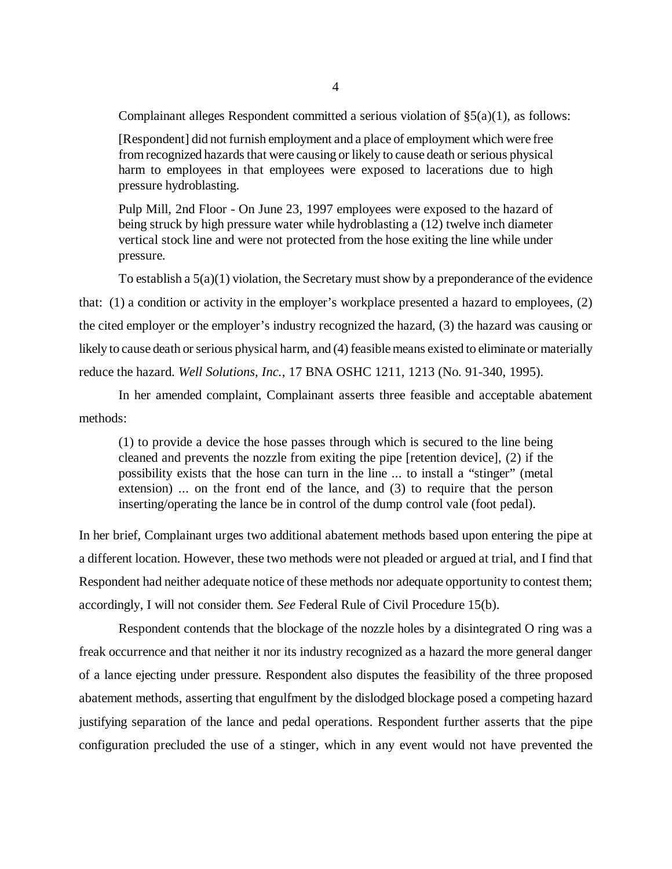Complainant alleges Respondent committed a serious violation of  $\S(3a)(1)$ , as follows:

[Respondent] did not furnish employment and a place of employment which were free from recognized hazards that were causing or likely to cause death or serious physical harm to employees in that employees were exposed to lacerations due to high pressure hydroblasting.

Pulp Mill, 2nd Floor - On June 23, 1997 employees were exposed to the hazard of being struck by high pressure water while hydroblasting a (12) twelve inch diameter vertical stock line and were not protected from the hose exiting the line while under pressure.

To establish a  $5(a)(1)$  violation, the Secretary must show by a preponderance of the evidence that: (1) a condition or activity in the employer's workplace presented a hazard to employees, (2) the cited employer or the employer's industry recognized the hazard, (3) the hazard was causing or likely to cause death or serious physical harm, and (4) feasible means existed to eliminate or materially reduce the hazard. *Well Solutions, Inc.*, 17 BNA OSHC 1211, 1213 (No. 91-340, 1995).

In her amended complaint, Complainant asserts three feasible and acceptable abatement methods:

(1) to provide a device the hose passes through which is secured to the line being cleaned and prevents the nozzle from exiting the pipe [retention device], (2) if the possibility exists that the hose can turn in the line ... to install a "stinger" (metal extension) ... on the front end of the lance, and (3) to require that the person inserting/operating the lance be in control of the dump control vale (foot pedal).

In her brief, Complainant urges two additional abatement methods based upon entering the pipe at a different location. However, these two methods were not pleaded or argued at trial, and I find that Respondent had neither adequate notice of these methods nor adequate opportunity to contest them; accordingly, I will not consider them. *See* Federal Rule of Civil Procedure 15(b).

Respondent contends that the blockage of the nozzle holes by a disintegrated O ring was a freak occurrence and that neither it nor its industry recognized as a hazard the more general danger of a lance ejecting under pressure. Respondent also disputes the feasibility of the three proposed abatement methods, asserting that engulfment by the dislodged blockage posed a competing hazard justifying separation of the lance and pedal operations. Respondent further asserts that the pipe configuration precluded the use of a stinger, which in any event would not have prevented the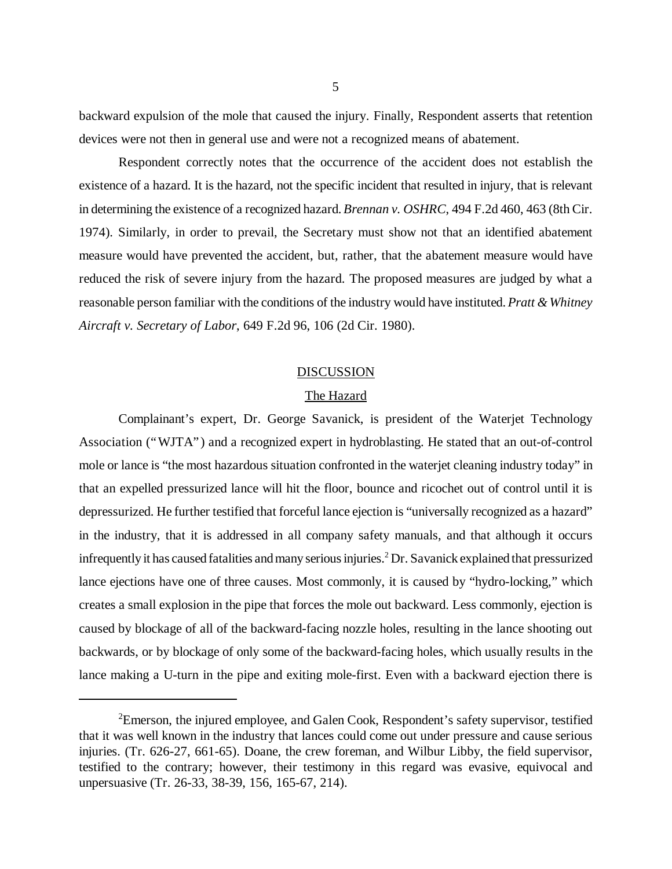backward expulsion of the mole that caused the injury. Finally, Respondent asserts that retention devices were not then in general use and were not a recognized means of abatement.

Respondent correctly notes that the occurrence of the accident does not establish the existence of a hazard. It is the hazard, not the specific incident that resulted in injury, that is relevant in determining the existence of a recognized hazard. *Brennan v. OSHRC*, 494 F.2d 460, 463 (8th Cir. 1974). Similarly, in order to prevail, the Secretary must show not that an identified abatement measure would have prevented the accident, but, rather, that the abatement measure would have reduced the risk of severe injury from the hazard. The proposed measures are judged by what a reasonable person familiar with the conditions of the industry would have instituted. *Pratt & Whitney Aircraft v. Secretary of Labor*, 649 F.2d 96, 106 (2d Cir. 1980).

#### DISCUSSION

### The Hazard

Complainant's expert, Dr. George Savanick, is president of the Waterjet Technology Association ("WJTA") and a recognized expert in hydroblasting. He stated that an out-of-control mole or lance is "the most hazardous situation confronted in the waterjet cleaning industry today" in that an expelled pressurized lance will hit the floor, bounce and ricochet out of control until it is depressurized. He further testified that forceful lance ejection is "universally recognized as a hazard" in the industry, that it is addressed in all company safety manuals, and that although it occurs infrequently it has caused fatalities and many serious injuries.<sup>2</sup> Dr. Savanick explained that pressurized lance ejections have one of three causes. Most commonly, it is caused by "hydro-locking," which creates a small explosion in the pipe that forces the mole out backward. Less commonly, ejection is caused by blockage of all of the backward-facing nozzle holes, resulting in the lance shooting out backwards, or by blockage of only some of the backward-facing holes, which usually results in the lance making a U-turn in the pipe and exiting mole-first. Even with a backward ejection there is

<sup>&</sup>lt;sup>2</sup>Emerson, the injured employee, and Galen Cook, Respondent's safety supervisor, testified that it was well known in the industry that lances could come out under pressure and cause serious injuries. (Tr. 626-27, 661-65). Doane, the crew foreman, and Wilbur Libby, the field supervisor, testified to the contrary; however, their testimony in this regard was evasive, equivocal and unpersuasive (Tr. 26-33, 38-39, 156, 165-67, 214).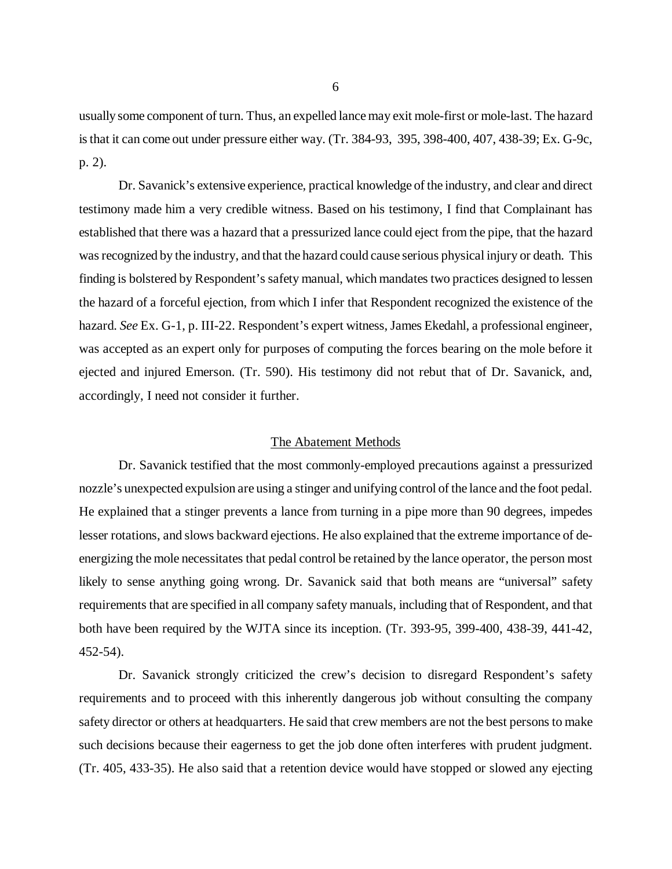usually some component of turn. Thus, an expelled lance may exit mole-first or mole-last. The hazard is that it can come out under pressure either way. (Tr. 384-93, 395, 398-400, 407, 438-39; Ex. G-9c, p. 2).

Dr. Savanick's extensive experience, practical knowledge of the industry, and clear and direct testimony made him a very credible witness. Based on his testimony, I find that Complainant has established that there was a hazard that a pressurized lance could eject from the pipe, that the hazard was recognized by the industry, and that the hazard could cause serious physical injury or death. This finding is bolstered by Respondent's safety manual, which mandates two practices designed to lessen the hazard of a forceful ejection, from which I infer that Respondent recognized the existence of the hazard. *See* Ex. G-1, p. III-22. Respondent's expert witness, James Ekedahl, a professional engineer, was accepted as an expert only for purposes of computing the forces bearing on the mole before it ejected and injured Emerson. (Tr. 590). His testimony did not rebut that of Dr. Savanick, and, accordingly, I need not consider it further.

#### The Abatement Methods

Dr. Savanick testified that the most commonly-employed precautions against a pressurized nozzle's unexpected expulsion are using a stinger and unifying control of the lance and the foot pedal. He explained that a stinger prevents a lance from turning in a pipe more than 90 degrees, impedes lesser rotations, and slows backward ejections. He also explained that the extreme importance of deenergizing the mole necessitates that pedal control be retained by the lance operator, the person most likely to sense anything going wrong. Dr. Savanick said that both means are "universal" safety requirements that are specified in all company safety manuals, including that of Respondent, and that both have been required by the WJTA since its inception. (Tr. 393-95, 399-400, 438-39, 441-42, 452-54).

Dr. Savanick strongly criticized the crew's decision to disregard Respondent's safety requirements and to proceed with this inherently dangerous job without consulting the company safety director or others at headquarters. He said that crew members are not the best persons to make such decisions because their eagerness to get the job done often interferes with prudent judgment. (Tr. 405, 433-35). He also said that a retention device would have stopped or slowed any ejecting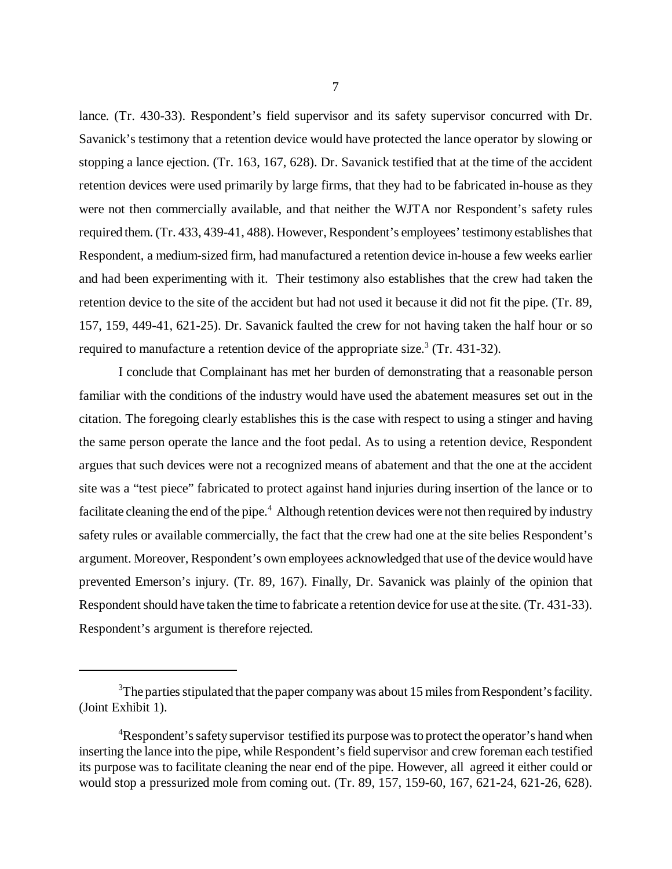lance. (Tr. 430-33). Respondent's field supervisor and its safety supervisor concurred with Dr. Savanick's testimony that a retention device would have protected the lance operator by slowing or stopping a lance ejection. (Tr. 163, 167, 628). Dr. Savanick testified that at the time of the accident retention devices were used primarily by large firms, that they had to be fabricated in-house as they were not then commercially available, and that neither the WJTA nor Respondent's safety rules required them. (Tr. 433, 439-41, 488). However, Respondent's employees' testimony establishes that Respondent, a medium-sized firm, had manufactured a retention device in-house a few weeks earlier and had been experimenting with it. Their testimony also establishes that the crew had taken the retention device to the site of the accident but had not used it because it did not fit the pipe. (Tr. 89, 157, 159, 449-41, 621-25). Dr. Savanick faulted the crew for not having taken the half hour or so required to manufacture a retention device of the appropriate size.<sup>3</sup> (Tr. 431-32).

I conclude that Complainant has met her burden of demonstrating that a reasonable person familiar with the conditions of the industry would have used the abatement measures set out in the citation. The foregoing clearly establishes this is the case with respect to using a stinger and having the same person operate the lance and the foot pedal. As to using a retention device, Respondent argues that such devices were not a recognized means of abatement and that the one at the accident site was a "test piece" fabricated to protect against hand injuries during insertion of the lance or to facilitate cleaning the end of the pipe.<sup>4</sup> Although retention devices were not then required by industry safety rules or available commercially, the fact that the crew had one at the site belies Respondent's argument. Moreover, Respondent's own employees acknowledged that use of the device would have prevented Emerson's injury. (Tr. 89, 167). Finally, Dr. Savanick was plainly of the opinion that Respondent should have taken the time to fabricate a retention device for use at the site. (Tr. 431-33). Respondent's argument is therefore rejected.

 $3$ The parties stipulated that the paper company was about 15 miles from Respondent's facility. (Joint Exhibit 1).

<sup>&</sup>lt;sup>4</sup>Respondent's safety supervisor testified its purpose was to protect the operator's hand when inserting the lance into the pipe, while Respondent's field supervisor and crew foreman each testified its purpose was to facilitate cleaning the near end of the pipe. However, all agreed it either could or would stop a pressurized mole from coming out. (Tr. 89, 157, 159-60, 167, 621-24, 621-26, 628).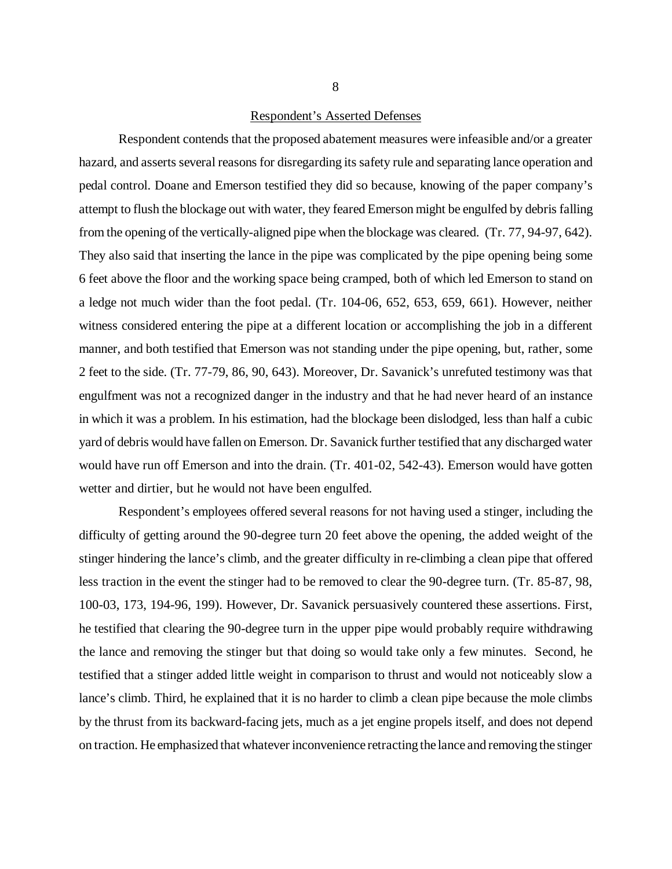#### Respondent's Asserted Defenses

Respondent contends that the proposed abatement measures were infeasible and/or a greater hazard, and asserts several reasons for disregarding its safety rule and separating lance operation and pedal control. Doane and Emerson testified they did so because, knowing of the paper company's attempt to flush the blockage out with water, they feared Emerson might be engulfed by debris falling from the opening of the vertically-aligned pipe when the blockage was cleared. (Tr. 77, 94-97, 642). They also said that inserting the lance in the pipe was complicated by the pipe opening being some 6 feet above the floor and the working space being cramped, both of which led Emerson to stand on a ledge not much wider than the foot pedal. (Tr. 104-06, 652, 653, 659, 661). However, neither witness considered entering the pipe at a different location or accomplishing the job in a different manner, and both testified that Emerson was not standing under the pipe opening, but, rather, some 2 feet to the side. (Tr. 77-79, 86, 90, 643). Moreover, Dr. Savanick's unrefuted testimony was that engulfment was not a recognized danger in the industry and that he had never heard of an instance in which it was a problem. In his estimation, had the blockage been dislodged, less than half a cubic yard of debris would have fallen on Emerson. Dr. Savanick further testified that any discharged water would have run off Emerson and into the drain. (Tr. 401-02, 542-43). Emerson would have gotten wetter and dirtier, but he would not have been engulfed.

Respondent's employees offered several reasons for not having used a stinger, including the difficulty of getting around the 90-degree turn 20 feet above the opening, the added weight of the stinger hindering the lance's climb, and the greater difficulty in re-climbing a clean pipe that offered less traction in the event the stinger had to be removed to clear the 90-degree turn. (Tr. 85-87, 98, 100-03, 173, 194-96, 199). However, Dr. Savanick persuasively countered these assertions. First, he testified that clearing the 90-degree turn in the upper pipe would probably require withdrawing the lance and removing the stinger but that doing so would take only a few minutes. Second, he testified that a stinger added little weight in comparison to thrust and would not noticeably slow a lance's climb. Third, he explained that it is no harder to climb a clean pipe because the mole climbs by the thrust from its backward-facing jets, much as a jet engine propels itself, and does not depend on traction. He emphasized that whatever inconvenience retracting the lance and removing the stinger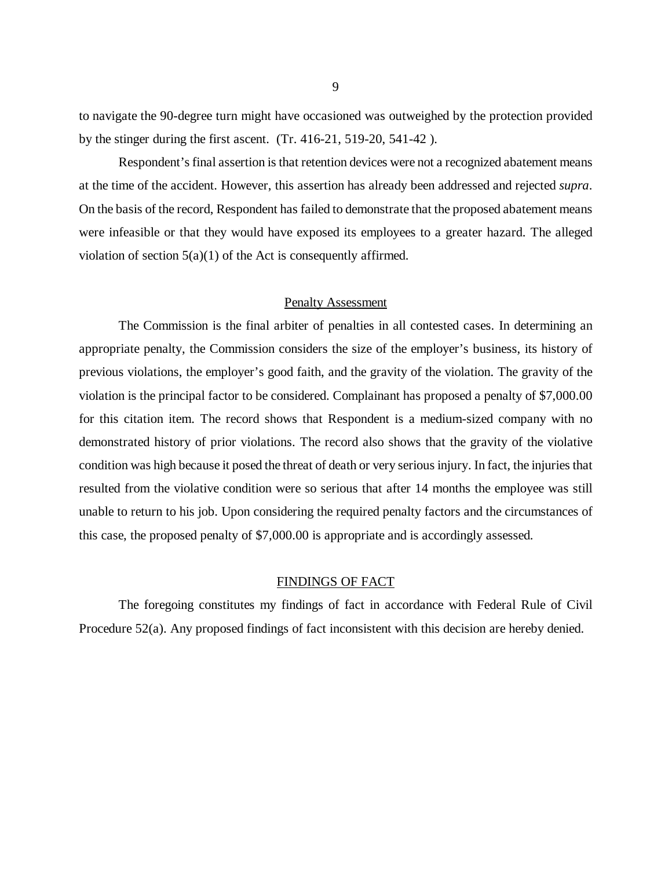to navigate the 90-degree turn might have occasioned was outweighed by the protection provided by the stinger during the first ascent. (Tr. 416-21, 519-20, 541-42 ).

Respondent's final assertion is that retention devices were not a recognized abatement means at the time of the accident. However, this assertion has already been addressed and rejected *supra*. On the basis of the record, Respondent has failed to demonstrate that the proposed abatement means were infeasible or that they would have exposed its employees to a greater hazard. The alleged violation of section 5(a)(1) of the Act is consequently affirmed.

## Penalty Assessment

The Commission is the final arbiter of penalties in all contested cases. In determining an appropriate penalty, the Commission considers the size of the employer's business, its history of previous violations, the employer's good faith, and the gravity of the violation. The gravity of the violation is the principal factor to be considered. Complainant has proposed a penalty of \$7,000.00 for this citation item. The record shows that Respondent is a medium-sized company with no demonstrated history of prior violations. The record also shows that the gravity of the violative condition was high because it posed the threat of death or very serious injury. In fact, the injuries that resulted from the violative condition were so serious that after 14 months the employee was still unable to return to his job. Upon considering the required penalty factors and the circumstances of this case, the proposed penalty of \$7,000.00 is appropriate and is accordingly assessed.

### FINDINGS OF FACT

The foregoing constitutes my findings of fact in accordance with Federal Rule of Civil Procedure 52(a). Any proposed findings of fact inconsistent with this decision are hereby denied.